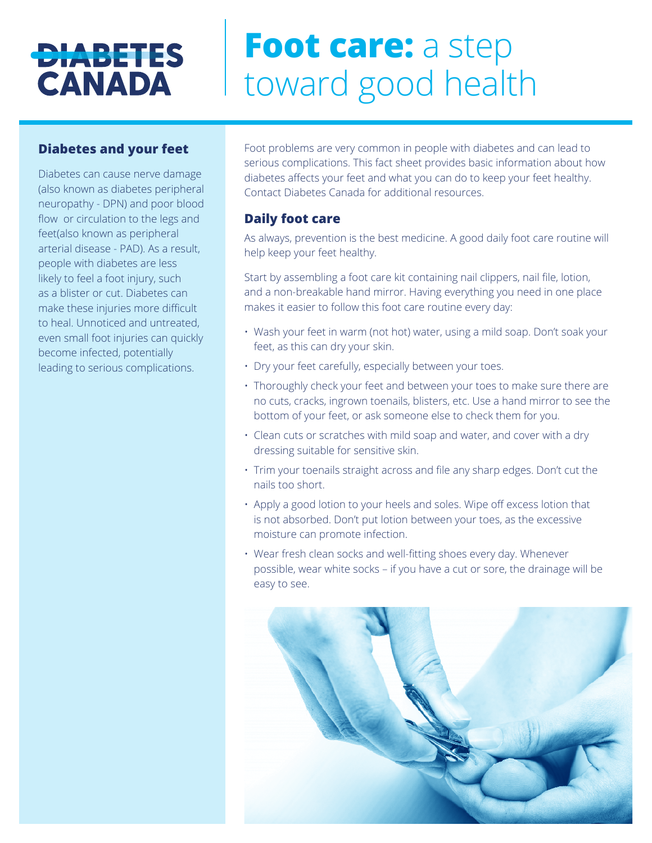## **DIABETES CANADA**

# **Foot care:** a step toward good health

### **Diabetes and your feet**

Diabetes can cause nerve damage (also known as diabetes peripheral neuropathy - DPN) and poor blood flow or circulation to the legs and feet(also known as peripheral arterial disease - PAD). As a result, people with diabetes are less likely to feel a foot injury, such as a blister or cut. Diabetes can make these injuries more difficult to heal. Unnoticed and untreated, even small foot injuries can quickly become infected, potentially leading to serious complications.

Foot problems are very common in people with diabetes and can lead to serious complications. This fact sheet provides basic information about how diabetes affects your feet and what you can do to keep your feet healthy. Contact Diabetes Canada for additional resources.

#### **Daily foot care**

As always, prevention is the best medicine. A good daily foot care routine will help keep your feet healthy.

Start by assembling a foot care kit containing nail clippers, nail file, lotion, and a non-breakable hand mirror. Having everything you need in one place makes it easier to follow this foot care routine every day:

- Wash your feet in warm (not hot) water, using a mild soap. Don't soak your feet, as this can dry your skin.
- Dry your feet carefully, especially between your toes.
- Thoroughly check your feet and between your toes to make sure there are no cuts, cracks, ingrown toenails, blisters, etc. Use a hand mirror to see the bottom of your feet, or ask someone else to check them for you.
- Clean cuts or scratches with mild soap and water, and cover with a dry dressing suitable for sensitive skin.
- Trim your toenails straight across and file any sharp edges. Don't cut the nails too short.
- Apply a good lotion to your heels and soles. Wipe off excess lotion that is not absorbed. Don't put lotion between your toes, as the excessive moisture can promote infection.
- Wear fresh clean socks and well-fitting shoes every day. Whenever possible, wear white socks – if you have a cut or sore, the drainage will be easy to see.